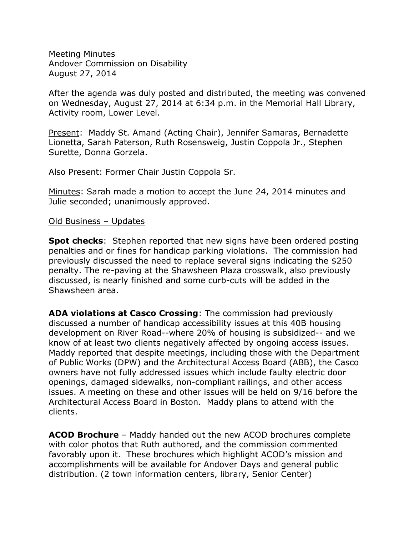Meeting Minutes Andover Commission on Disability August 27, 2014

After the agenda was duly posted and distributed, the meeting was convened on Wednesday, August 27, 2014 at 6:34 p.m. in the Memorial Hall Library, Activity room, Lower Level.

Present: Maddy St. Amand (Acting Chair), Jennifer Samaras, Bernadette Lionetta, Sarah Paterson, Ruth Rosensweig, Justin Coppola Jr., Stephen Surette, Donna Gorzela.

Also Present: Former Chair Justin Coppola Sr.

Minutes: Sarah made a motion to accept the June 24, 2014 minutes and Julie seconded; unanimously approved.

#### Old Business – Updates

**Spot checks**: Stephen reported that new signs have been ordered posting penalties and or fines for handicap parking violations. The commission had previously discussed the need to replace several signs indicating the \$250 penalty. The re-paving at the Shawsheen Plaza crosswalk, also previously discussed, is nearly finished and some curb-cuts will be added in the Shawsheen area.

**ADA violations at Casco Crossing**: The commission had previously discussed a number of handicap accessibility issues at this 40B housing development on River Road--where 20% of housing is subsidized-- and we know of at least two clients negatively affected by ongoing access issues. Maddy reported that despite meetings, including those with the Department of Public Works (DPW) and the Architectural Access Board (ABB), the Casco owners have not fully addressed issues which include faulty electric door openings, damaged sidewalks, non-compliant railings, and other access issues. A meeting on these and other issues will be held on 9/16 before the Architectural Access Board in Boston. Maddy plans to attend with the clients.

**ACOD Brochure** – Maddy handed out the new ACOD brochures complete with color photos that Ruth authored, and the commission commented favorably upon it. These brochures which highlight ACOD's mission and accomplishments will be available for Andover Days and general public distribution. (2 town information centers, library, Senior Center)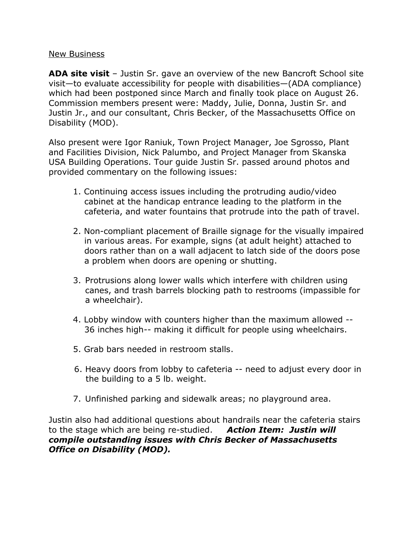## New Business

**ADA site visit** – Justin Sr. gave an overview of the new Bancroft School site visit—to evaluate accessibility for people with disabilities—(ADA compliance) which had been postponed since March and finally took place on August 26. Commission members present were: Maddy, Julie, Donna, Justin Sr. and Justin Jr., and our consultant, Chris Becker, of the Massachusetts Office on Disability (MOD).

Also present were Igor Raniuk, Town Project Manager, Joe Sgrosso, Plant and Facilities Division, Nick Palumbo, and Project Manager from Skanska USA Building Operations. Tour guide Justin Sr. passed around photos and provided commentary on the following issues:

- 1. Continuing access issues including the protruding audio/video cabinet at the handicap entrance leading to the platform in the cafeteria, and water fountains that protrude into the path of travel.
- 2. Non-compliant placement of Braille signage for the visually impaired in various areas. For example, signs (at adult height) attached to doors rather than on a wall adjacent to latch side of the doors pose a problem when doors are opening or shutting.
- 3. Protrusions along lower walls which interfere with children using canes, and trash barrels blocking path to restrooms (impassible for a wheelchair).
- 4. Lobby window with counters higher than the maximum allowed -- 36 inches high-- making it difficult for people using wheelchairs.
- 5. Grab bars needed in restroom stalls.
- 6. Heavy doors from lobby to cafeteria -- need to adjust every door in the building to a 5 lb. weight.
- 7. Unfinished parking and sidewalk areas; no playground area.

Justin also had additional questions about handrails near the cafeteria stairs to the stage which are being re-studied. *Action Item: Justin will compile outstanding issues with Chris Becker of Massachusetts Office on Disability (MOD).*